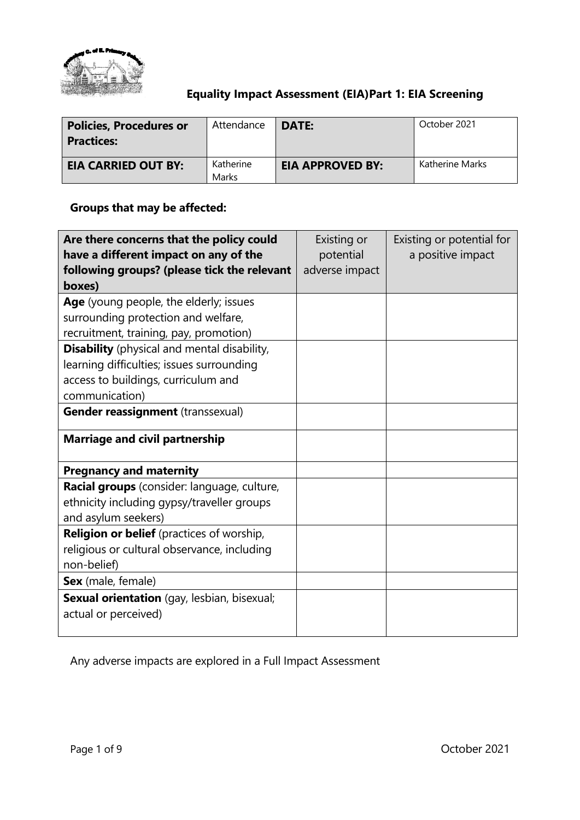

## **Equality Impact Assessment (EIA)Part 1: EIA Screening**

| <b>Policies, Procedures or</b><br><b>Practices:</b> | Attendance         | DATE:                   | October 2021    |
|-----------------------------------------------------|--------------------|-------------------------|-----------------|
| <b>EIA CARRIED OUT BY:</b>                          | Katherine<br>Marks | <b>EIA APPROVED BY:</b> | Katherine Marks |

## **Groups that may be affected:**

| Are there concerns that the policy could           | Existing or    | Existing or potential for |
|----------------------------------------------------|----------------|---------------------------|
| have a different impact on any of the              | potential      | a positive impact         |
| following groups? (please tick the relevant        | adverse impact |                           |
| boxes)                                             |                |                           |
| Age (young people, the elderly; issues             |                |                           |
| surrounding protection and welfare,                |                |                           |
| recruitment, training, pay, promotion)             |                |                           |
| <b>Disability</b> (physical and mental disability, |                |                           |
| learning difficulties; issues surrounding          |                |                           |
| access to buildings, curriculum and                |                |                           |
| communication)                                     |                |                           |
| Gender reassignment (transsexual)                  |                |                           |
| <b>Marriage and civil partnership</b>              |                |                           |
| <b>Pregnancy and maternity</b>                     |                |                           |
| Racial groups (consider: language, culture,        |                |                           |
| ethnicity including gypsy/traveller groups         |                |                           |
| and asylum seekers)                                |                |                           |
| <b>Religion or belief</b> (practices of worship,   |                |                           |
| religious or cultural observance, including        |                |                           |
| non-belief)                                        |                |                           |
| Sex (male, female)                                 |                |                           |
| Sexual orientation (gay, lesbian, bisexual;        |                |                           |
| actual or perceived)                               |                |                           |
|                                                    |                |                           |

Any adverse impacts are explored in a Full Impact Assessment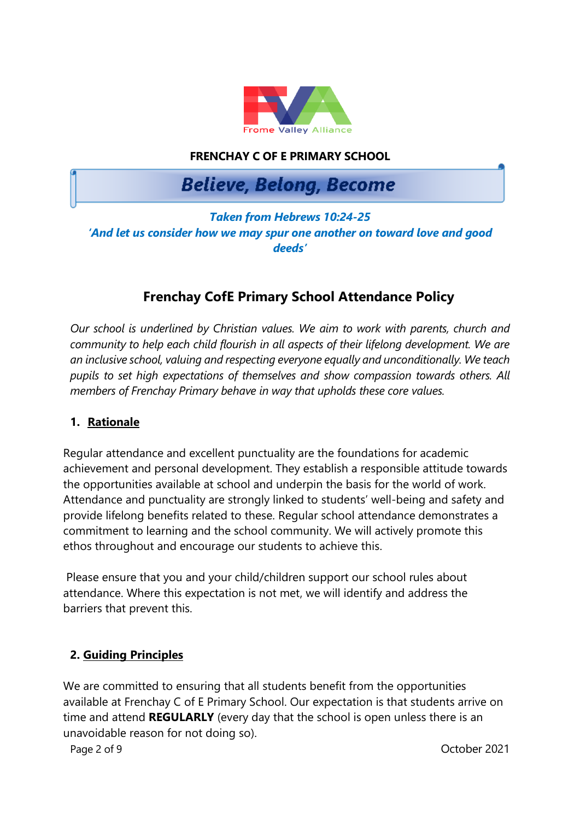

## **FRENCHAY C OF E PRIMARY SCHOOL**

# **Believe, Belong, Become**

## *Taken from Hebrews 10:24-25 'And let us consider how we may spur one another on toward love and good deeds'*

## **Frenchay CofE Primary School Attendance Policy**

*Our school is underlined by Christian values. We aim to work with parents, church and community to help each child flourish in all aspects of their lifelong development. We are an inclusive school, valuing and respecting everyone equally and unconditionally. We teach pupils to set high expectations of themselves and show compassion towards others. All members of Frenchay Primary behave in way that upholds these core values.*

#### **1. Rationale**

Regular attendance and excellent punctuality are the foundations for academic achievement and personal development. They establish a responsible attitude towards the opportunities available at school and underpin the basis for the world of work. Attendance and punctuality are strongly linked to students' well-being and safety and provide lifelong benefits related to these. Regular school attendance demonstrates a commitment to learning and the school community. We will actively promote this ethos throughout and encourage our students to achieve this.

Please ensure that you and your child/children support our school rules about attendance. Where this expectation is not met, we will identify and address the barriers that prevent this.

#### **2. Guiding Principles**

We are committed to ensuring that all students benefit from the opportunities available at Frenchay C of E Primary School. Our expectation is that students arrive on time and attend **REGULARLY** (every day that the school is open unless there is an unavoidable reason for not doing so).

Page 2 of 9 October 2021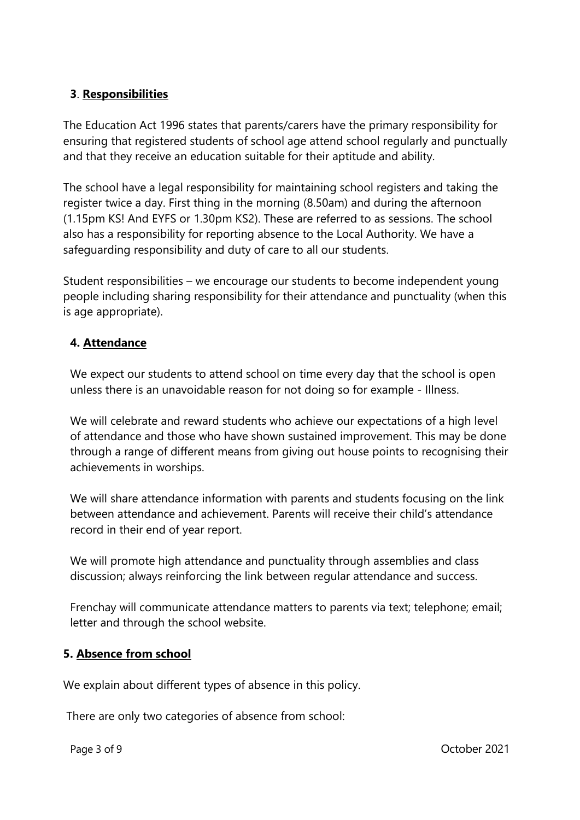## **3**. **Responsibilities**

The Education Act 1996 states that parents/carers have the primary responsibility for ensuring that registered students of school age attend school regularly and punctually and that they receive an education suitable for their aptitude and ability.

The school have a legal responsibility for maintaining school registers and taking the register twice a day. First thing in the morning (8.50am) and during the afternoon (1.15pm KS! And EYFS or 1.30pm KS2). These are referred to as sessions. The school also has a responsibility for reporting absence to the Local Authority. We have a safeguarding responsibility and duty of care to all our students.

Student responsibilities – we encourage our students to become independent young people including sharing responsibility for their attendance and punctuality (when this is age appropriate).

## **4. Attendance**

We expect our students to attend school on time every day that the school is open unless there is an unavoidable reason for not doing so for example - Illness.

We will celebrate and reward students who achieve our expectations of a high level of attendance and those who have shown sustained improvement. This may be done through a range of different means from giving out house points to recognising their achievements in worships.

We will share attendance information with parents and students focusing on the link between attendance and achievement. Parents will receive their child's attendance record in their end of year report.

We will promote high attendance and punctuality through assemblies and class discussion; always reinforcing the link between regular attendance and success.

Frenchay will communicate attendance matters to parents via text; telephone; email; letter and through the school website.

#### **5. Absence from school**

We explain about different types of absence in this policy.

There are only two categories of absence from school: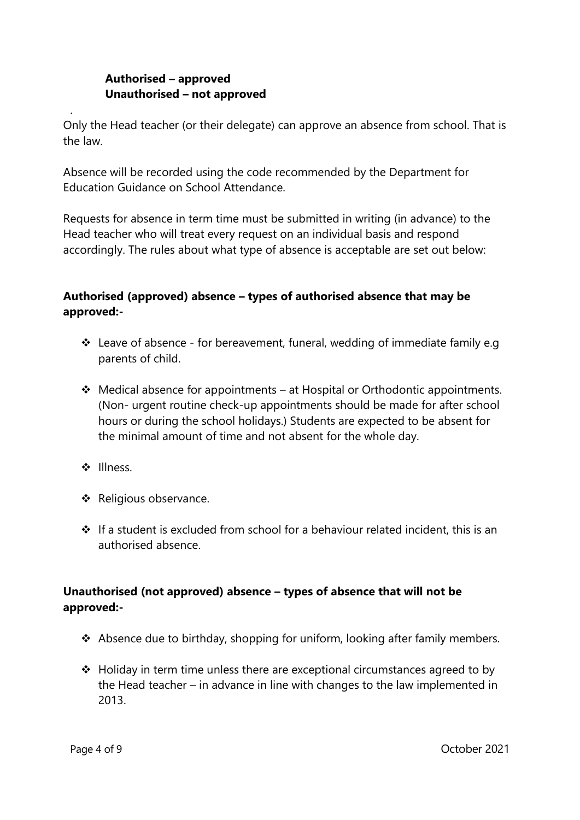## **Authorised – approved Unauthorised – not approved**

Only the Head teacher (or their delegate) can approve an absence from school. That is the law.

Absence will be recorded using the code recommended by the Department for Education Guidance on School Attendance.

Requests for absence in term time must be submitted in writing (in advance) to the Head teacher who will treat every request on an individual basis and respond accordingly. The rules about what type of absence is acceptable are set out below:

## **Authorised (approved) absence – types of authorised absence that may be approved:-**

- ❖ Leave of absence for bereavement, funeral, wedding of immediate family e.g parents of child.
- ❖ Medical absence for appointments at Hospital or Orthodontic appointments. (Non- urgent routine check-up appointments should be made for after school hours or during the school holidays.) Students are expected to be absent for the minimal amount of time and not absent for the whole day.
- ❖ Illness.

.

- ❖ Religious observance.
- ❖ If a student is excluded from school for a behaviour related incident, this is an authorised absence.

## **Unauthorised (not approved) absence – types of absence that will not be approved:-**

- ❖ Absence due to birthday, shopping for uniform, looking after family members.
- $\triangle$  Holiday in term time unless there are exceptional circumstances agreed to by the Head teacher – in advance in line with changes to the law implemented in 2013.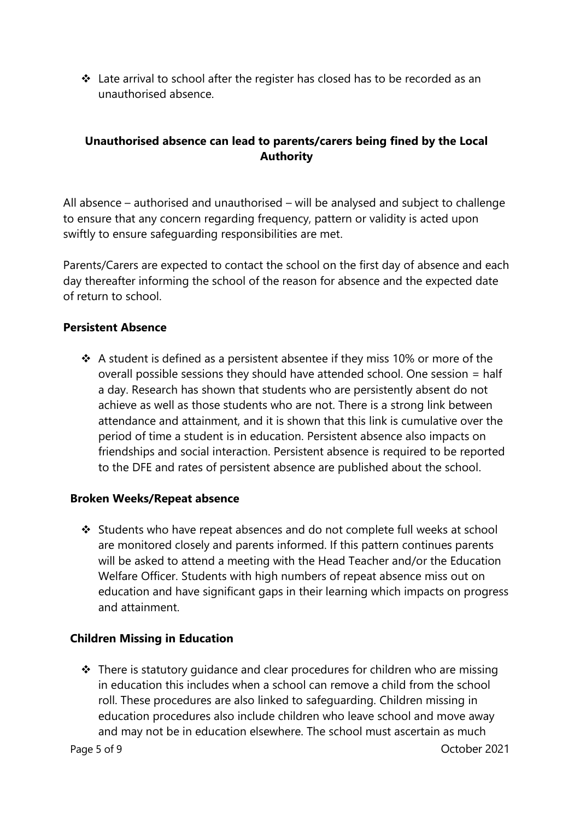❖ Late arrival to school after the register has closed has to be recorded as an unauthorised absence.

## **Unauthorised absence can lead to parents/carers being fined by the Local Authority**

All absence – authorised and unauthorised – will be analysed and subject to challenge to ensure that any concern regarding frequency, pattern or validity is acted upon swiftly to ensure safeguarding responsibilities are met.

Parents/Carers are expected to contact the school on the first day of absence and each day thereafter informing the school of the reason for absence and the expected date of return to school.

#### **Persistent Absence**

❖ A student is defined as a persistent absentee if they miss 10% or more of the overall possible sessions they should have attended school. One session = half a day. Research has shown that students who are persistently absent do not achieve as well as those students who are not. There is a strong link between attendance and attainment, and it is shown that this link is cumulative over the period of time a student is in education. Persistent absence also impacts on friendships and social interaction. Persistent absence is required to be reported to the DFE and rates of persistent absence are published about the school.

#### **Broken Weeks/Repeat absence**

❖ Students who have repeat absences and do not complete full weeks at school are monitored closely and parents informed. If this pattern continues parents will be asked to attend a meeting with the Head Teacher and/or the Education Welfare Officer. Students with high numbers of repeat absence miss out on education and have significant gaps in their learning which impacts on progress and attainment.

#### **Children Missing in Education**

Page 5 of 9 October 2021 ❖ There is statutory guidance and clear procedures for children who are missing in education this includes when a school can remove a child from the school roll. These procedures are also linked to safeguarding. Children missing in education procedures also include children who leave school and move away and may not be in education elsewhere. The school must ascertain as much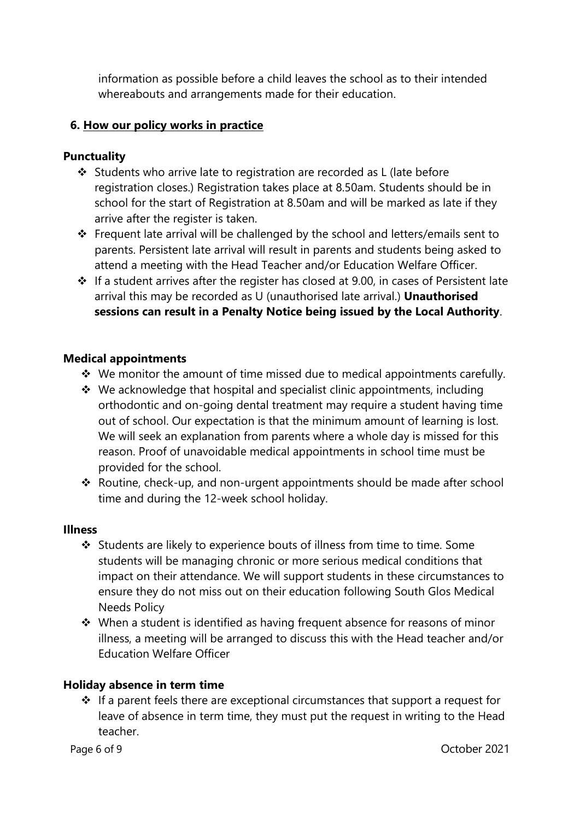information as possible before a child leaves the school as to their intended whereabouts and arrangements made for their education.

### **6. How our policy works in practice**

#### **Punctuality**

- ❖ Students who arrive late to registration are recorded as L (late before registration closes.) Registration takes place at 8.50am. Students should be in school for the start of Registration at 8.50am and will be marked as late if they arrive after the register is taken.
- ❖ Frequent late arrival will be challenged by the school and letters/emails sent to parents. Persistent late arrival will result in parents and students being asked to attend a meeting with the Head Teacher and/or Education Welfare Officer.
- ❖ If a student arrives after the register has closed at 9.00, in cases of Persistent late arrival this may be recorded as U (unauthorised late arrival.) **Unauthorised sessions can result in a Penalty Notice being issued by the Local Authority**.

#### **Medical appointments**

- ❖ We monitor the amount of time missed due to medical appointments carefully.
- ❖ We acknowledge that hospital and specialist clinic appointments, including orthodontic and on-going dental treatment may require a student having time out of school. Our expectation is that the minimum amount of learning is lost. We will seek an explanation from parents where a whole day is missed for this reason. Proof of unavoidable medical appointments in school time must be provided for the school.
- ❖ Routine, check-up, and non-urgent appointments should be made after school time and during the 12-week school holiday.

#### **Illness**

- ❖ Students are likely to experience bouts of illness from time to time. Some students will be managing chronic or more serious medical conditions that impact on their attendance. We will support students in these circumstances to ensure they do not miss out on their education following South Glos Medical Needs Policy
- ❖ When a student is identified as having frequent absence for reasons of minor illness, a meeting will be arranged to discuss this with the Head teacher and/or Education Welfare Officer

#### **Holiday absence in term time**

❖ If a parent feels there are exceptional circumstances that support a request for leave of absence in term time, they must put the request in writing to the Head teacher.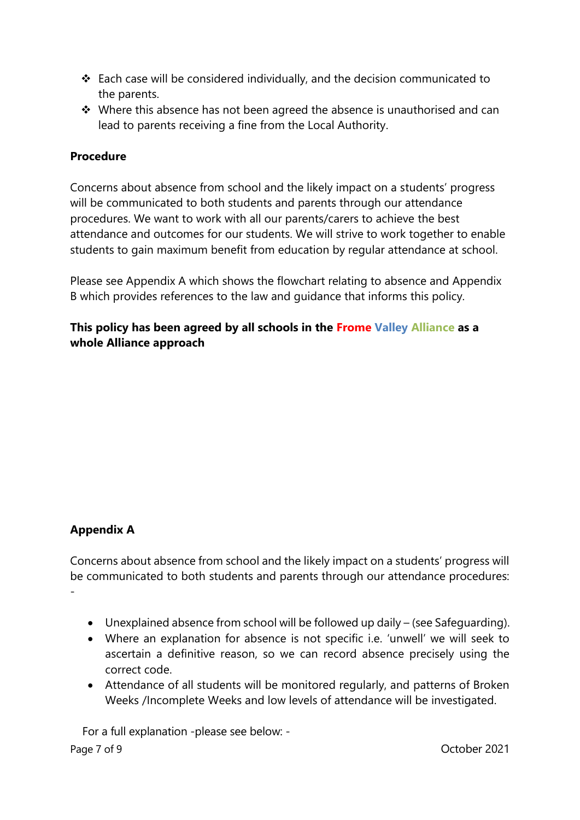- ❖ Each case will be considered individually, and the decision communicated to the parents.
- ❖ Where this absence has not been agreed the absence is unauthorised and can lead to parents receiving a fine from the Local Authority.

### **Procedure**

Concerns about absence from school and the likely impact on a students' progress will be communicated to both students and parents through our attendance procedures. We want to work with all our parents/carers to achieve the best attendance and outcomes for our students. We will strive to work together to enable students to gain maximum benefit from education by regular attendance at school.

Please see Appendix A which shows the flowchart relating to absence and Appendix B which provides references to the law and guidance that informs this policy.

**This policy has been agreed by all schools in the Frome Valley Alliance as a whole Alliance approach**

## **Appendix A**

Concerns about absence from school and the likely impact on a students' progress will be communicated to both students and parents through our attendance procedures: -

- Unexplained absence from school will be followed up daily (see Safeguarding).
- Where an explanation for absence is not specific i.e. 'unwell' we will seek to ascertain a definitive reason, so we can record absence precisely using the correct code.
- Attendance of all students will be monitored regularly, and patterns of Broken Weeks /Incomplete Weeks and low levels of attendance will be investigated.

Page 7 of 9 October 2021 For a full explanation -please see below: -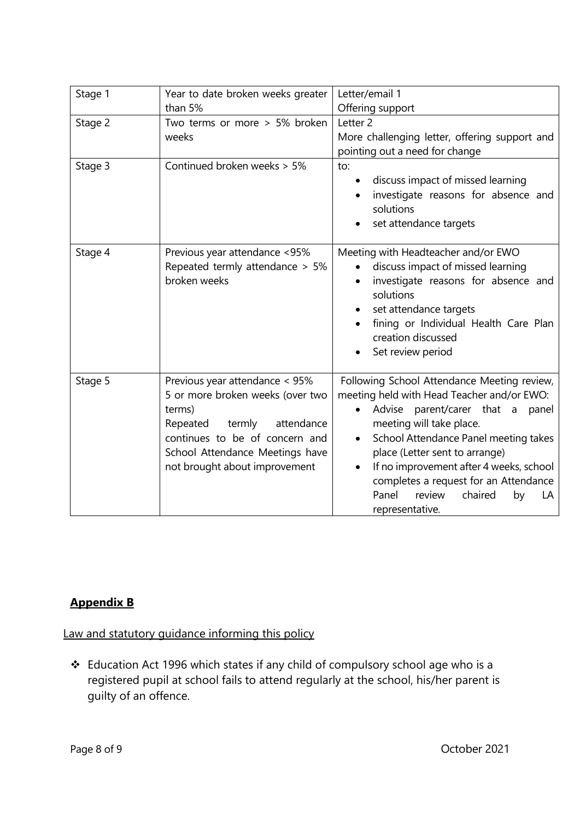| Stage 1 | Year to date broken weeks greater                                                                                                                                                                                      | Letter/email 1                                                                                                                                                                                                                                                                                                                                                                                                  |
|---------|------------------------------------------------------------------------------------------------------------------------------------------------------------------------------------------------------------------------|-----------------------------------------------------------------------------------------------------------------------------------------------------------------------------------------------------------------------------------------------------------------------------------------------------------------------------------------------------------------------------------------------------------------|
|         | than 5%                                                                                                                                                                                                                | Offering support                                                                                                                                                                                                                                                                                                                                                                                                |
| Stage 2 | Two terms or more > 5% broken                                                                                                                                                                                          | Letter <sub>2</sub>                                                                                                                                                                                                                                                                                                                                                                                             |
|         | weeks                                                                                                                                                                                                                  | More challenging letter, offering support and                                                                                                                                                                                                                                                                                                                                                                   |
|         |                                                                                                                                                                                                                        | pointing out a need for change                                                                                                                                                                                                                                                                                                                                                                                  |
| Stage 3 | Continued broken weeks > 5%                                                                                                                                                                                            | to:<br>discuss impact of missed learning<br>investigate reasons for absence and<br>solutions<br>set attendance targets                                                                                                                                                                                                                                                                                          |
| Stage 4 | Previous year attendance <95%<br>Repeated termly attendance > 5%<br>broken weeks                                                                                                                                       | Meeting with Headteacher and/or EWO<br>discuss impact of missed learning<br>investigate reasons for absence and<br>solutions<br>set attendance targets<br>fining or Individual Health Care Plan<br>creation discussed<br>Set review period                                                                                                                                                                      |
| Stage 5 | Previous year attendance < 95%<br>5 or more broken weeks (over two<br>terms)<br>termly<br>attendance<br>Repeated<br>continues to be of concern and<br>School Attendance Meetings have<br>not brought about improvement | Following School Attendance Meeting review,<br>meeting held with Head Teacher and/or EWO:<br>Advise parent/carer that a panel<br>meeting will take place.<br>School Attendance Panel meeting takes<br>$\bullet$<br>place (Letter sent to arrange)<br>If no improvement after 4 weeks, school<br>$\bullet$<br>completes a request for an Attendance<br>Panel<br>review<br>chaired<br>by<br>LA<br>representative. |

## **Appendix B**

Law and statutory guidance informing this policy

❖ Education Act 1996 which states if any child of compulsory school age who is a registered pupil at school fails to attend regularly at the school, his/her parent is guilty of an offence.